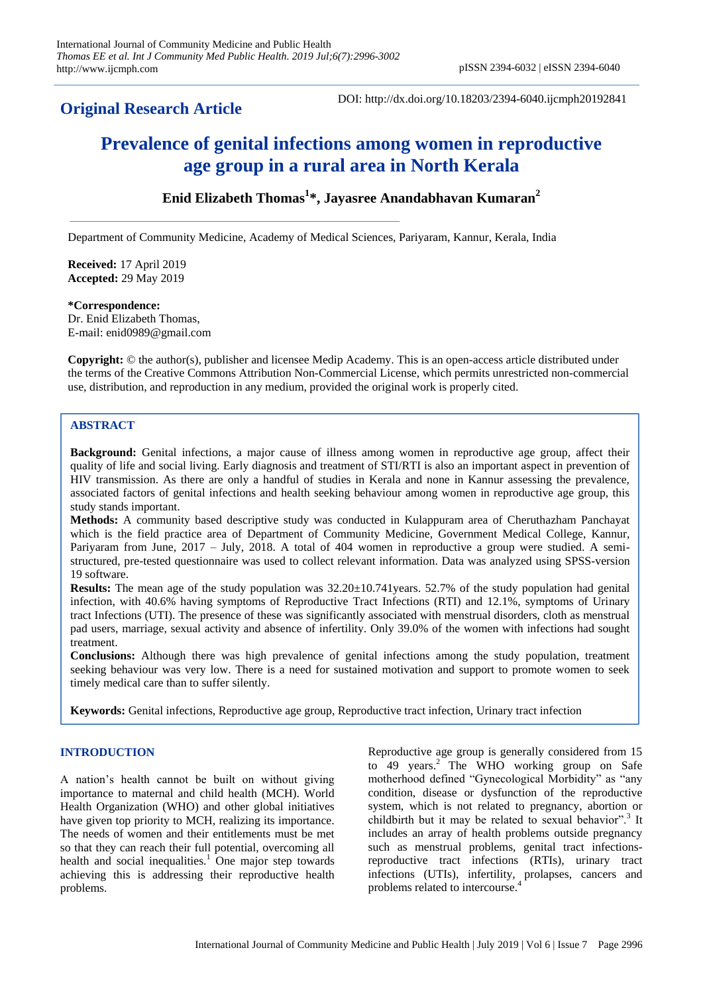# **Original Research Article**

DOI: http://dx.doi.org/10.18203/2394-6040.ijcmph20192841

# **Prevalence of genital infections among women in reproductive age group in a rural area in North Kerala**

# **Enid Elizabeth Thomas<sup>1</sup> \*, Jayasree Anandabhavan Kumaran<sup>2</sup>**

Department of Community Medicine, Academy of Medical Sciences, Pariyaram, Kannur, Kerala, India

**Received:** 17 April 2019 **Accepted:** 29 May 2019

#### **\*Correspondence:**

Dr. Enid Elizabeth Thomas, E-mail: enid0989@gmail.com

**Copyright:** © the author(s), publisher and licensee Medip Academy. This is an open-access article distributed under the terms of the Creative Commons Attribution Non-Commercial License, which permits unrestricted non-commercial use, distribution, and reproduction in any medium, provided the original work is properly cited.

## **ABSTRACT**

**Background:** Genital infections, a major cause of illness among women in reproductive age group, affect their quality of life and social living. Early diagnosis and treatment of STI/RTI is also an important aspect in prevention of HIV transmission. As there are only a handful of studies in Kerala and none in Kannur assessing the prevalence, associated factors of genital infections and health seeking behaviour among women in reproductive age group, this study stands important.

**Methods:** A community based descriptive study was conducted in Kulappuram area of Cheruthazham Panchayat which is the field practice area of Department of Community Medicine, Government Medical College, Kannur, Pariyaram from June, 2017 – July, 2018. A total of 404 women in reproductive a group were studied. A semistructured, pre-tested questionnaire was used to collect relevant information. Data was analyzed using SPSS-version 19 software.

**Results:** The mean age of the study population was 32.20±10.741years. 52.7% of the study population had genital infection, with 40.6% having symptoms of Reproductive Tract Infections (RTI) and 12.1%, symptoms of Urinary tract Infections (UTI). The presence of these was significantly associated with menstrual disorders, cloth as menstrual pad users, marriage, sexual activity and absence of infertility. Only 39.0% of the women with infections had sought treatment.

**Conclusions:** Although there was high prevalence of genital infections among the study population, treatment seeking behaviour was very low. There is a need for sustained motivation and support to promote women to seek timely medical care than to suffer silently.

**Keywords:** Genital infections, Reproductive age group, Reproductive tract infection, Urinary tract infection

# **INTRODUCTION**

A nation"s health cannot be built on without giving importance to maternal and child health (MCH). World Health Organization (WHO) and other global initiatives have given top priority to MCH, realizing its importance. The needs of women and their entitlements must be met so that they can reach their full potential, overcoming all health and social inequalities.<sup>1</sup> One major step towards achieving this is addressing their reproductive health problems.

Reproductive age group is generally considered from 15 to 49 years.<sup>2</sup> The WHO working group on Safe motherhood defined "Gynecological Morbidity" as "any condition, disease or dysfunction of the reproductive system, which is not related to pregnancy, abortion or childbirth but it may be related to sexual behavior".<sup>3</sup> It includes an array of health problems outside pregnancy such as menstrual problems, genital tract infectionsreproductive tract infections (RTIs), urinary tract infections (UTIs), infertility, prolapses, cancers and problems related to intercourse.<sup>4</sup>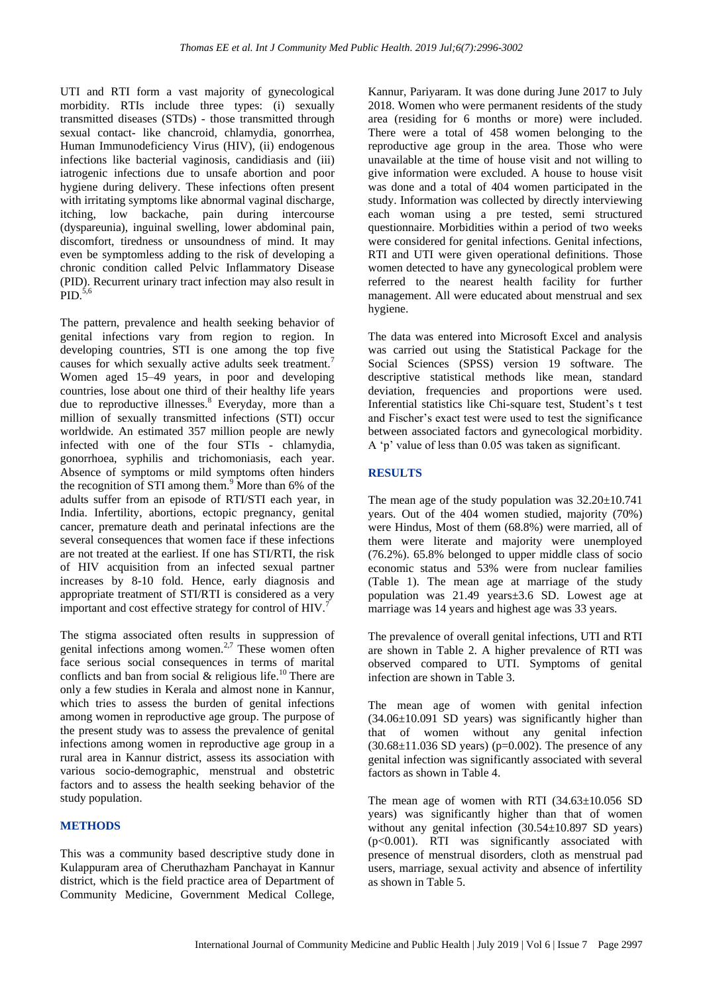UTI and RTI form a vast majority of gynecological morbidity. RTIs include three types: (i) sexually transmitted diseases (STDs) - those transmitted through sexual contact- like chancroid, chlamydia, gonorrhea, Human Immunodeficiency Virus (HIV), (ii) endogenous infections like bacterial vaginosis, candidiasis and (iii) iatrogenic infections due to unsafe abortion and poor hygiene during delivery. These infections often present with irritating symptoms like abnormal vaginal discharge, itching, low backache, pain during intercourse (dyspareunia), inguinal swelling, lower abdominal pain, discomfort, tiredness or unsoundness of mind. It may even be symptomless adding to the risk of developing a chronic condition called Pelvic Inflammatory Disease (PID). Recurrent urinary tract infection may also result in  $PID<sup>5,6</sup>$ 

The pattern, prevalence and health seeking behavior of genital infections vary from region to region. In developing countries, STI is one among the top five causes for which sexually active adults seek treatment.<sup>7</sup> Women aged 15–49 years, in poor and developing countries, lose about one third of their healthy life years due to reproductive illnesses. <sup>8</sup> Everyday, more than a million of sexually transmitted infections (STI) occur worldwide. An estimated 357 million people are newly infected with one of the four STIs - chlamydia, gonorrhoea, syphilis and trichomoniasis, each year. Absence of symptoms or mild symptoms often hinders the recognition of STI among them.<sup>9</sup> More than 6% of the adults suffer from an episode of RTI/STI each year, in India. Infertility, abortions, ectopic pregnancy, genital cancer, premature death and perinatal infections are the several consequences that women face if these infections are not treated at the earliest. If one has STI/RTI, the risk of HIV acquisition from an infected sexual partner increases by 8-10 fold. Hence, early diagnosis and appropriate treatment of STI/RTI is considered as a very important and cost effective strategy for control of HIV.<sup>7</sup>

The stigma associated often results in suppression of The sugnital associated often results in  $\frac{1}{2}$ . These women often face serious social consequences in terms of marital conflicts and ban from social  $&$  religious life.<sup>10</sup> There are only a few studies in Kerala and almost none in Kannur, which tries to assess the burden of genital infections among women in reproductive age group. The purpose of the present study was to assess the prevalence of genital infections among women in reproductive age group in a rural area in Kannur district, assess its association with various socio-demographic, menstrual and obstetric factors and to assess the health seeking behavior of the study population.

#### **METHODS**

This was a community based descriptive study done in Kulappuram area of Cheruthazham Panchayat in Kannur district, which is the field practice area of Department of Community Medicine, Government Medical College, Kannur, Pariyaram. It was done during June 2017 to July 2018. Women who were permanent residents of the study area (residing for 6 months or more) were included. There were a total of 458 women belonging to the reproductive age group in the area. Those who were unavailable at the time of house visit and not willing to give information were excluded. A house to house visit was done and a total of 404 women participated in the study. Information was collected by directly interviewing each woman using a pre tested, semi structured questionnaire. Morbidities within a period of two weeks were considered for genital infections. Genital infections, RTI and UTI were given operational definitions. Those women detected to have any gynecological problem were referred to the nearest health facility for further management. All were educated about menstrual and sex hygiene.

The data was entered into Microsoft Excel and analysis was carried out using the Statistical Package for the Social Sciences (SPSS) version 19 software. The descriptive statistical methods like mean, standard deviation, frequencies and proportions were used. Inferential statistics like Chi-square test, Student's t test and Fischer"s exact test were used to test the significance between associated factors and gynecological morbidity. A "p" value of less than 0.05 was taken as significant.

#### **RESULTS**

The mean age of the study population was  $32.20 \pm 10.741$ years. Out of the 404 women studied, majority (70%) were Hindus, Most of them (68.8%) were married, all of them were literate and majority were unemployed (76.2%). 65.8% belonged to upper middle class of socio economic status and 53% were from nuclear families (Table 1). The mean age at marriage of the study population was 21.49 years±3.6 SD. Lowest age at marriage was 14 years and highest age was 33 years.

The prevalence of overall genital infections, UTI and RTI are shown in Table 2. A higher prevalence of RTI was observed compared to UTI. Symptoms of genital infection are shown in Table 3.

The mean age of women with genital infection  $(34.06 \pm 10.091$  SD years) was significantly higher than that of women without any genital infection  $(30.68 \pm 11.036$  SD years) (p=0.002). The presence of any genital infection was significantly associated with several factors as shown in Table 4.

The mean age of women with RTI (34.63±10.056 SD years) was significantly higher than that of women without any genital infection  $(30.54 \pm 10.897$  SD years) (p<0.001). RTI was significantly associated with presence of menstrual disorders, cloth as menstrual pad users, marriage, sexual activity and absence of infertility as shown in Table 5.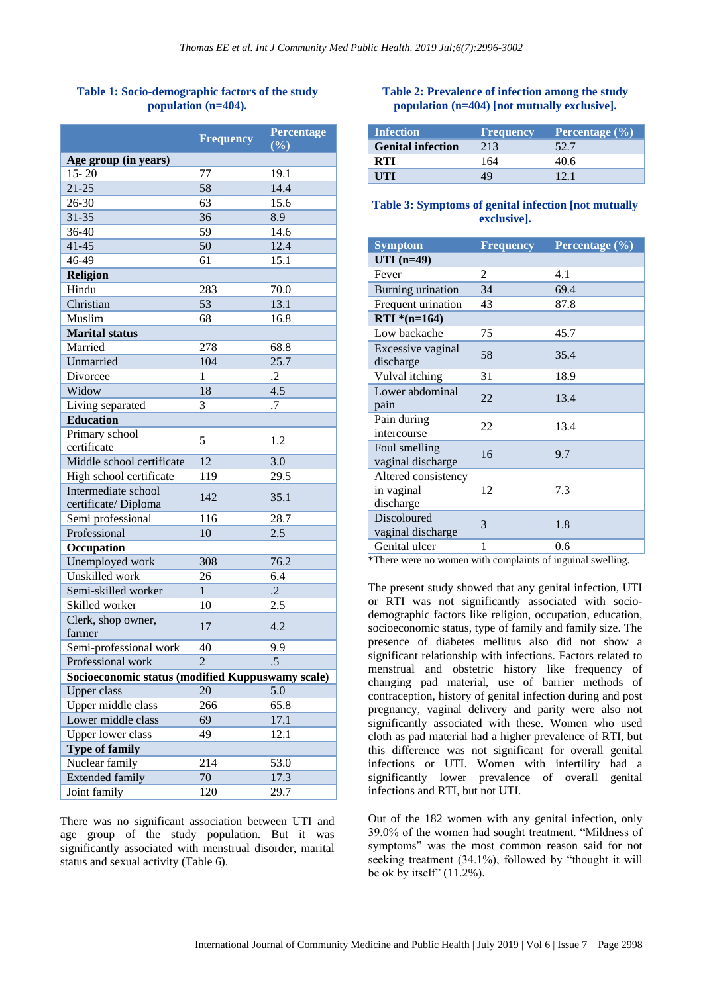## **Table 1: Socio-demographic factors of the study population (n=404).**

|                                                  | <b>Frequency</b> | Percentage<br>(%) |
|--------------------------------------------------|------------------|-------------------|
| Age group (in years)                             |                  |                   |
| $15 - 20$                                        | 77               | 19.1              |
| $21 - 25$                                        | 58               | 14.4              |
| 26-30                                            | 63               | 15.6              |
| 31-35                                            | 36               | 8.9               |
| 36-40                                            | 59               | 14.6              |
| $41 - 45$                                        | 50               | 12.4              |
| 46-49                                            | 61               | 15.1              |
| Religion                                         |                  |                   |
| Hindu                                            | 283              | 70.0              |
| Christian                                        | 53               | 13.1              |
| Muslim                                           | 68               | 16.8              |
| <b>Marital</b> status                            |                  |                   |
| Married                                          | 278              | 68.8              |
| Unmarried                                        | 104              | 25.7              |
| Divorcee                                         | 1                | .2                |
| Widow                                            | 18               | 4.5               |
| Living separated                                 | 3                | .7                |
| <b>Education</b>                                 |                  |                   |
| Primary school<br>certificate                    | 5                | 1.2               |
| Middle school certificate                        | 12               | 3.0               |
| High school certificate                          | 119              | 29.5              |
| Intermediate school                              |                  |                   |
| certificate/Diploma                              | 142              | 35.1              |
| Semi professional                                | 116              | 28.7              |
| Professional                                     | 10               | 2.5               |
| Occupation                                       |                  |                   |
| Unemployed work                                  | 308              | 76.2              |
| Unskilled work                                   | 26               | 6.4               |
| Semi-skilled worker                              | 1                | $\cdot$ .2        |
| Skilled worker                                   | 10               | 2.5               |
| Clerk, shop owner,<br>farmer                     | 17               | 4.2               |
| Semi-professional work                           | 40               | 9.9               |
| Professional work                                | $\overline{2}$   | .5                |
| Socioeconomic status (modified Kuppuswamy scale) |                  |                   |
| Upper class                                      | 20               | 5.0               |
| Upper middle class                               | 266              | 65.8              |
| Lower middle class                               | 69               | 17.1              |
| <b>Upper lower class</b>                         | 49               | 12.1              |
| <b>Type of family</b>                            |                  |                   |
| Nuclear family                                   | 214              | 53.0              |
| <b>Extended family</b>                           | 70               | 17.3              |
| Joint family                                     | 120              | 29.7              |

There was no significant association between UTI and age group of the study population. But it was significantly associated with menstrual disorder, marital status and sexual activity (Table 6).

### **Table 2: Prevalence of infection among the study population (n=404) [not mutually exclusive].**

| <b>Infection</b>         | <b>Frequency</b> | Percentage (%) |
|--------------------------|------------------|----------------|
| <b>Genital infection</b> | 213              | 52.7           |
| RTI                      | 164              | 4በ 6           |
| UTI                      |                  | 121            |

#### **Table 3: Symptoms of genital infection [not mutually exclusive].**

| <b>Symptom</b>                                 | <b>Frequency</b> | Percentage (%) |
|------------------------------------------------|------------------|----------------|
| $UTI(n=49)$                                    |                  |                |
| Fever                                          | 2                | 4.1            |
| Burning urination                              | 34               | 69.4           |
| Frequent urination                             | 43               | 87.8           |
| RTI $*(n=164)$                                 |                  |                |
| Low backache                                   | 75               | 45.7           |
| Excessive vaginal<br>discharge                 | 58               | 35.4           |
| Vulval itching                                 | 31               | 18.9           |
| Lower abdominal<br>pain                        | 22               | 13.4           |
| Pain during<br>intercourse                     | 22               | 13.4           |
| Foul smelling<br>vaginal discharge             | 16               | 9.7            |
| Altered consistency<br>in vaginal<br>discharge | 12               | 7.3            |
| <b>Discoloured</b><br>vaginal discharge        | 3                | 1.8            |
| Genital ulcer                                  | 1                | 0.6            |

\*There were no women with complaints of inguinal swelling.

The present study showed that any genital infection, UTI or RTI was not significantly associated with sociodemographic factors like religion, occupation, education, socioeconomic status, type of family and family size. The presence of diabetes mellitus also did not show a significant relationship with infections. Factors related to menstrual and obstetric history like frequency of changing pad material, use of barrier methods of contraception, history of genital infection during and post pregnancy, vaginal delivery and parity were also not significantly associated with these. Women who used cloth as pad material had a higher prevalence of RTI, but this difference was not significant for overall genital infections or UTI. Women with infertility had a significantly lower prevalence of overall genital infections and RTI, but not UTI.

Out of the 182 women with any genital infection, only 39.0% of the women had sought treatment. "Mildness of symptoms" was the most common reason said for not seeking treatment (34.1%), followed by "thought it will be ok by itself"  $(11.2\%)$ .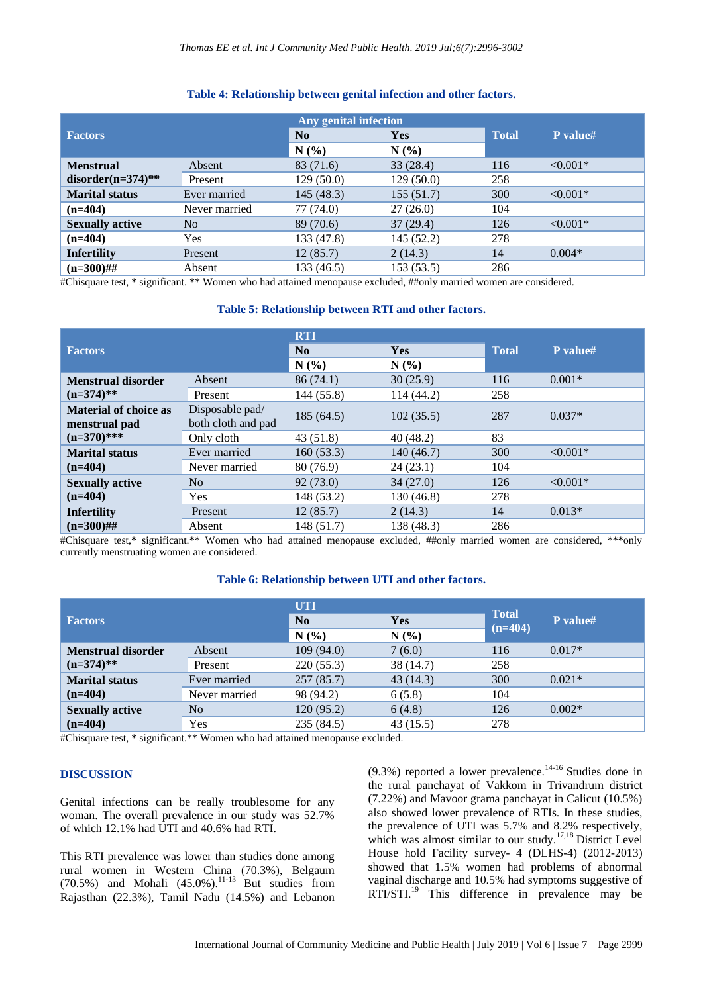#### **Factors Any genital infection No Yes Total P value# N (%) N (%) Menstrual disorder(n=374)\*\*** Absent 83 (71.6) 33 (28.4) 116 <0.001<sup>\*</sup> Present 129 (50.0) 129 (50.0) 258 **Marital status** Ever married 145 (48.3) 155 (51.7) 300 <0.001<sup>\*</sup> **(n=404)** Never married 77 (74.0) 27 (26.0) 104 **Sexually active** No 89 (70.6) 37 (29.4) 126 <0.001<sup>\*</sup> **(n=404)** Yes 133 (47.8) 145 (52.2) 278 **Infertility** Present 12 (85.7) 2 (14.3) 14 0.004\*

#### **Table 4: Relationship between genital infection and other factors.**

#Chisquare test, \* significant. \*\* Women who had attained menopause excluded, ##only married women are considered.

**(n=300)##** Absent 133 (46.5) 153 (53.5) 286

#### **Table 5: Relationship between RTI and other factors.**

|                                                                |                    | <b>RTI</b> |            |              |            |
|----------------------------------------------------------------|--------------------|------------|------------|--------------|------------|
| <b>Factors</b>                                                 |                    | No         | <b>Yes</b> | <b>Total</b> | P value#   |
|                                                                |                    | N(%)       | N(%)       |              |            |
| <b>Menstrual disorder</b><br>$(n=374)$ **                      | Absent             | 86(74.1)   | 30(25.9)   | 116          | $0.001*$   |
|                                                                | Present            | 144 (55.8) | 114 (44.2) | 258          |            |
| <b>Material of choice as</b><br>menstrual pad<br>$(n=370)$ *** | Disposable pad/    | 185(64.5)  | 102(35.5)  | 287          | $0.037*$   |
|                                                                | both cloth and pad |            |            |              |            |
|                                                                | Only cloth         | 43(51.8)   | 40(48.2)   | 83           |            |
| <b>Marital status</b><br>$(n=404)$                             | Ever married       | 160(53.3)  | 140(46.7)  | 300          | $< 0.001*$ |
|                                                                | Never married      | 80 (76.9)  | 24(23.1)   | 104          |            |
| <b>Sexually active</b>                                         | N <sub>o</sub>     | 92(73.0)   | 34(27.0)   | 126          | $< 0.001*$ |
| $(n=404)$                                                      | <b>Yes</b>         | 148 (53.2) | 130 (46.8) | 278          |            |
| <b>Infertility</b><br>$(n=300)$ ##                             | Present            | 12(85.7)   | 2(14.3)    | 14           | $0.013*$   |
|                                                                | Absent             | 148 (51.7) | 138 (48.3) | 286          |            |

#Chisquare test,\* significant.\*\* Women who had attained menopause excluded, ##only married women are considered, \*\*\*only currently menstruating women are considered.

### **Table 6: Relationship between UTI and other factors.**

|                                     |                | <b>UTI</b> |            |                           |          |
|-------------------------------------|----------------|------------|------------|---------------------------|----------|
| <b>Factors</b>                      |                | No         | <b>Yes</b> | <b>Total</b><br>$(n=404)$ | P value# |
|                                     |                | N(%        | N(%)       |                           |          |
| <b>Menstrual disorder</b>           | Absent         | 109(94.0)  | 7(6.0)     | 116                       | $0.017*$ |
| $(n=374)$ **                        | Present        | 220(55.3)  | 38 (14.7)  | 258                       |          |
| <b>Marital status</b><br>$(n=404)$  | Ever married   | 257(85.7)  | 43(14.3)   | 300                       | $0.021*$ |
|                                     | Never married  | 98 (94.2)  | 6(5.8)     | 104                       |          |
| <b>Sexually active</b><br>$(n=404)$ | N <sub>0</sub> | 120(95.2)  | 6(4.8)     | 126                       | $0.002*$ |
|                                     | Yes            | 235 (84.5) | 43 (15.5)  | 278                       |          |

#Chisquare test, \* significant.<sup>\*\*</sup> Women who had attained menopause excluded.

#### **DISCUSSION**

Genital infections can be really troublesome for any woman. The overall prevalence in our study was 52.7% of which 12.1% had UTI and 40.6% had RTI.

This RTI prevalence was lower than studies done among rural women in Western China (70.3%), Belgaum  $(70.5%)$  and Mohali  $(45.0%)$ .<sup>11-13</sup> But studies from Rajasthan (22.3%), Tamil Nadu (14.5%) and Lebanon  $(9.3\%)$  reported a lower prevalence.<sup>14-16</sup> Studies done in the rural panchayat of Vakkom in Trivandrum district (7.22%) and Mavoor grama panchayat in Calicut (10.5%) also showed lower prevalence of RTIs. In these studies, the prevalence of UTI was 5.7% and 8.2% respectively, which was almost similar to our study.<sup>17,18</sup> District Level House hold Facility survey- 4 (DLHS-4) (2012-2013) showed that 1.5% women had problems of abnormal vaginal discharge and 10.5% had symptoms suggestive of  $RTI/STI.<sup>19</sup>$  This difference in prevalence may be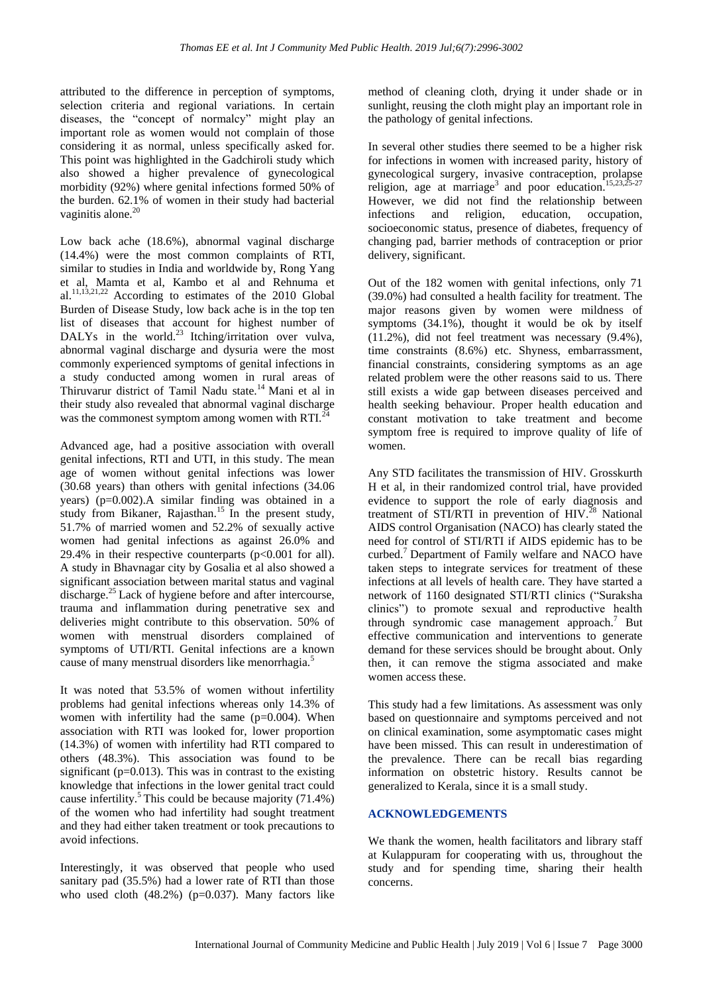attributed to the difference in perception of symptoms, selection criteria and regional variations. In certain diseases, the "concept of normalcy" might play an important role as women would not complain of those considering it as normal, unless specifically asked for. This point was highlighted in the Gadchiroli study which also showed a higher prevalence of gynecological morbidity (92%) where genital infections formed 50% of the burden. 62.1% of women in their study had bacterial vaginitis alone.<sup>20</sup>

Low back ache (18.6%), abnormal vaginal discharge (14.4%) were the most common complaints of RTI, similar to studies in India and worldwide by, Rong Yang et al, Mamta et al, Kambo et al and Rehnuma et al.<sup>11,13,21,22</sup> According to estimates of the 2010 Global Burden of Disease Study, low back ache is in the top ten list of diseases that account for highest number of DALYs in the world.<sup>23</sup> Itching/irritation over vulva, abnormal vaginal discharge and dysuria were the most commonly experienced symptoms of genital infections in a study conducted among women in rural areas of Thiruvarur district of Tamil Nadu state.<sup>14</sup>Mani et al in their study also revealed that abnormal vaginal discharge was the commonest symptom among women with RTI. $^{24}$ 

Advanced age, had a positive association with overall genital infections, RTI and UTI, in this study. The mean age of women without genital infections was lower (30.68 years) than others with genital infections (34.06 years) ( $p=0.002$ ). A similar finding was obtained in a study from Bikaner, Rajasthan.<sup>15</sup> In the present study, 51.7% of married women and 52.2% of sexually active women had genital infections as against 26.0% and 29.4% in their respective counterparts  $(p<0.001$  for all). A study in Bhavnagar city by Gosalia et al also showed a significant association between marital status and vaginal discharge.<sup>25</sup> Lack of hygiene before and after intercourse, trauma and inflammation during penetrative sex and deliveries might contribute to this observation. 50% of women with menstrual disorders complained of symptoms of UTI/RTI. Genital infections are a known cause of many menstrual disorders like menorrhagia.<sup>5</sup>

It was noted that 53.5% of women without infertility problems had genital infections whereas only 14.3% of women with infertility had the same  $(p=0.004)$ . When association with RTI was looked for, lower proportion (14.3%) of women with infertility had RTI compared to others (48.3%). This association was found to be significant ( $p=0.013$ ). This was in contrast to the existing knowledge that infections in the lower genital tract could cause infertility.<sup>5</sup> This could be because majority  $(71.4\%)$ of the women who had infertility had sought treatment and they had either taken treatment or took precautions to avoid infections.

Interestingly, it was observed that people who used sanitary pad (35.5%) had a lower rate of RTI than those who used cloth  $(48.2\%)$  (p=0.037). Many factors like method of cleaning cloth, drying it under shade or in sunlight, reusing the cloth might play an important role in the pathology of genital infections.

In several other studies there seemed to be a higher risk for infections in women with increased parity, history of gynecological surgery, invasive contraception, prolapse religion, age at marriage<sup>3</sup> and poor education.<sup>15,23,2</sup> However, we did not find the relationship between infections and religion, education, occupation, socioeconomic status, presence of diabetes, frequency of changing pad, barrier methods of contraception or prior delivery, significant.

Out of the 182 women with genital infections, only 71 (39.0%) had consulted a health facility for treatment. The major reasons given by women were mildness of symptoms (34.1%), thought it would be ok by itself (11.2%), did not feel treatment was necessary (9.4%), time constraints (8.6%) etc. Shyness, embarrassment, financial constraints, considering symptoms as an age related problem were the other reasons said to us. There still exists a wide gap between diseases perceived and health seeking behaviour. Proper health education and constant motivation to take treatment and become symptom free is required to improve quality of life of women.

Any STD facilitates the transmission of HIV. Grosskurth H et al, in their randomized control trial, have provided evidence to support the role of early diagnosis and treatment of STI/RTI in prevention of  $HIV.<sup>28</sup>$  National AIDS control Organisation (NACO) has clearly stated the need for control of STI/RTI if AIDS epidemic has to be curbed.<sup>7</sup> Department of Family welfare and NACO have taken steps to integrate services for treatment of these infections at all levels of health care. They have started a network of 1160 designated STI/RTI clinics ("Suraksha clinics") to promote sexual and reproductive health through syndromic case management approach.<sup>7</sup> But effective communication and interventions to generate demand for these services should be brought about. Only then, it can remove the stigma associated and make women access these.

This study had a few limitations. As assessment was only based on questionnaire and symptoms perceived and not on clinical examination, some asymptomatic cases might have been missed. This can result in underestimation of the prevalence. There can be recall bias regarding information on obstetric history. Results cannot be generalized to Kerala, since it is a small study.

#### **ACKNOWLEDGEMENTS**

We thank the women, health facilitators and library staff at Kulappuram for cooperating with us, throughout the study and for spending time, sharing their health concerns.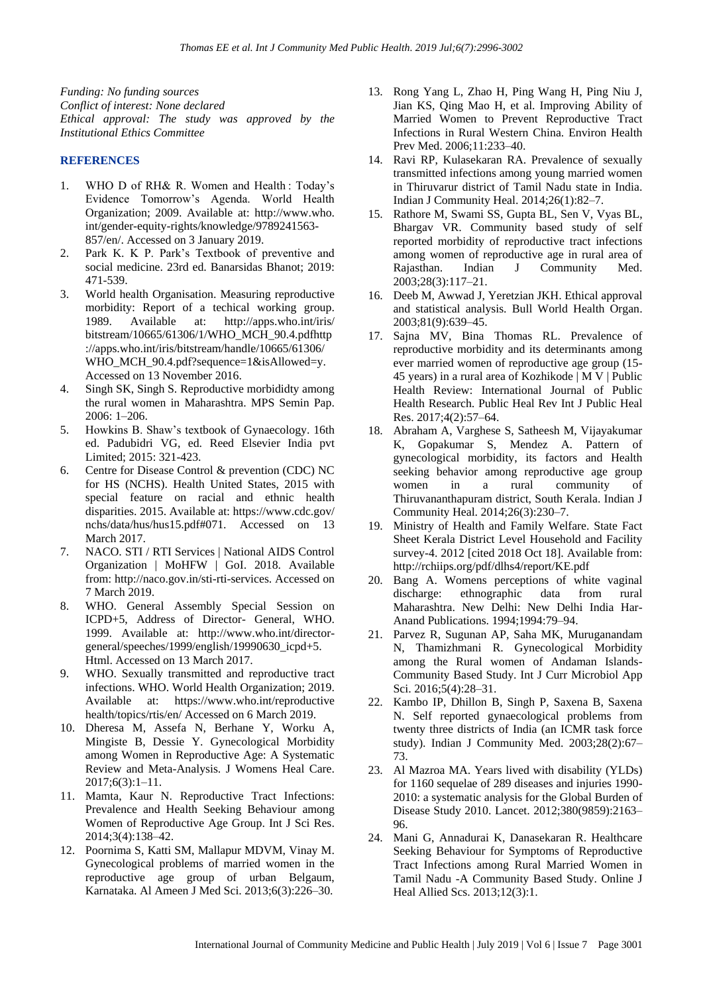*Funding: No funding sources Conflict of interest: None declared Ethical approval: The study was approved by the Institutional Ethics Committee*

#### **REFERENCES**

- 1. WHO D of RH& R. Women and Health : Today"s Evidence Tomorrow"s Agenda. World Health Organization; 2009. Available at: http://www.who. int/gender-equity-rights/knowledge/9789241563- 857/en/. Accessed on 3 January 2019.
- 2. Park K. K P. Park"s Textbook of preventive and social medicine. 23rd ed. Banarsidas Bhanot; 2019: 471-539.
- 3. World health Organisation. Measuring reproductive morbidity: Report of a techical working group. 1989. Available at: http://apps.who.int/iris/ bitstream/10665/61306/1/WHO\_MCH\_90.4.pdfhttp ://apps.who.int/iris/bitstream/handle/10665/61306/ WHO\_MCH\_90.4.pdf?sequence=1&isAllowed=y. Accessed on 13 November 2016.
- 4. Singh SK, Singh S. Reproductive morbididty among the rural women in Maharashtra. MPS Semin Pap. 2006: 1–206.
- 5. Howkins B. Shaw"s textbook of Gynaecology. 16th ed. Padubidri VG, ed. Reed Elsevier India pvt Limited; 2015: 321-423.
- 6. Centre for Disease Control & prevention (CDC) NC for HS (NCHS). Health United States, 2015 with special feature on racial and ethnic health disparities. 2015. Available at: https://www.cdc.gov/ nchs/data/hus/hus15.pdf#071. Accessed on 13 March 2017.
- 7. NACO. STI / RTI Services | National AIDS Control Organization | MoHFW | GoI. 2018. Available from: http://naco.gov.in/sti-rti-services. Accessed on 7 March 2019.
- 8. WHO. General Assembly Special Session on ICPD+5, Address of Director- General, WHO. 1999. Available at: http://www.who.int/directorgeneral/speeches/1999/english/19990630\_icpd+5. Html. Accessed on 13 March 2017.
- 9. WHO. Sexually transmitted and reproductive tract infections. WHO. World Health Organization; 2019. Available at: https://www.who.int/reproductive health/topics/rtis/en/ Accessed on 6 March 2019.
- 10. Dheresa M, Assefa N, Berhane Y, Worku A, Mingiste B, Dessie Y. Gynecological Morbidity among Women in Reproductive Age: A Systematic Review and Meta-Analysis. J Womens Heal Care. 2017;6(3):1–11.
- 11. Mamta, Kaur N. Reproductive Tract Infections: Prevalence and Health Seeking Behaviour among Women of Reproductive Age Group. Int J Sci Res. 2014;3(4):138–42.
- 12. Poornima S, Katti SM, Mallapur MDVM, Vinay M. Gynecological problems of married women in the reproductive age group of urban Belgaum, Karnataka. Al Ameen J Med Sci. 2013;6(3):226–30.
- 13. Rong Yang L, Zhao H, Ping Wang H, Ping Niu J, Jian KS, Qing Mao H, et al. Improving Ability of Married Women to Prevent Reproductive Tract Infections in Rural Western China. Environ Health Prev Med. 2006;11:233–40.
- 14. Ravi RP, Kulasekaran RA. Prevalence of sexually transmitted infections among young married women in Thiruvarur district of Tamil Nadu state in India. Indian J Community Heal. 2014;26(1):82–7.
- 15. Rathore M, Swami SS, Gupta BL, Sen V, Vyas BL, Bhargav VR. Community based study of self reported morbidity of reproductive tract infections among women of reproductive age in rural area of Rajasthan. Indian J Community Med. 2003;28(3):117–21.
- 16. Deeb M, Awwad J, Yeretzian JKH. Ethical approval and statistical analysis. Bull World Health Organ. 2003;81(9):639–45.
- 17. Sajna MV, Bina Thomas RL. Prevalence of reproductive morbidity and its determinants among ever married women of reproductive age group (15- 45 years) in a rural area of Kozhikode | M V | Public Health Review: International Journal of Public Health Research. Public Heal Rev Int J Public Heal Res. 2017;4(2):57–64.
- 18. Abraham A, Varghese S, Satheesh M, Vijayakumar K, Gopakumar S, Mendez A. Pattern of gynecological morbidity, its factors and Health seeking behavior among reproductive age group women in a rural community of Thiruvananthapuram district, South Kerala. Indian J Community Heal. 2014;26(3):230–7.
- 19. Ministry of Health and Family Welfare. State Fact Sheet Kerala District Level Household and Facility survey-4. 2012 [cited 2018 Oct 18]. Available from: http://rchiips.org/pdf/dlhs4/report/KE.pdf
- 20. Bang A. Womens perceptions of white vaginal discharge: ethnographic data from rural Maharashtra. New Delhi: New Delhi India Har-Anand Publications. 1994;1994:79–94.
- 21. Parvez R, Sugunan AP, Saha MK, Muruganandam N, Thamizhmani R. Gynecological Morbidity among the Rural women of Andaman Islands-Community Based Study. Int J Curr Microbiol App Sci. 2016;5(4):28-31.
- 22. Kambo IP, Dhillon B, Singh P, Saxena B, Saxena N. Self reported gynaecological problems from twenty three districts of India (an ICMR task force study). Indian J Community Med. 2003;28(2):67– 73.
- 23. Al Mazroa MA. Years lived with disability (YLDs) for 1160 sequelae of 289 diseases and injuries 1990- 2010: a systematic analysis for the Global Burden of Disease Study 2010. Lancet. 2012;380(9859):2163– 96.
- 24. Mani G, Annadurai K, Danasekaran R. Healthcare Seeking Behaviour for Symptoms of Reproductive Tract Infections among Rural Married Women in Tamil Nadu -A Community Based Study. Online J Heal Allied Scs. 2013;12(3):1.